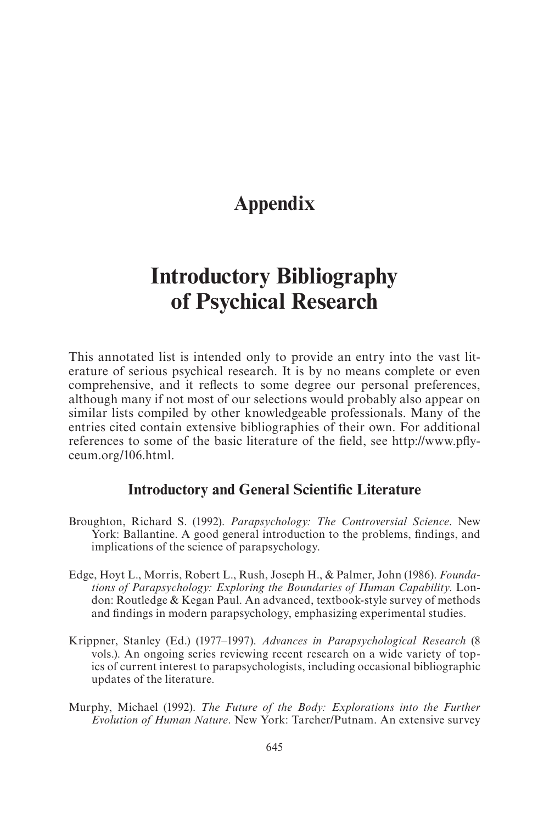# **Appendix**

# **Introductory Bibliography of Psychical Research**

This annotated list is intended only to provide an entry into the vast literature of serious psychical research. It is by no means complete or even comprehensive, and it reflects to some degree our personal preferences, although many if not most of our selections would probably also appear on similar lists compiled by other knowledgeable professionals. Many of the entries cited contain extensive bibliographies of their own. For additional references to some of the basic literature of the field, see http://www.pflyceum.org/106.html.

#### **Introductory and General Scientific Literature**

- Broughton, Richard S. (1992). *Parapsychology: The Controversial Science*. New York: Ballantine. A good general introduction to the problems, findings, and implications of the science of parapsychology.
- Edge, Hoyt L., Morris, Robert L., Rush, Joseph H., & Palmer, John (1986). *Foundations of Parapsychology: Exploring the Boundaries of Human Capability*. London: Routledge & Kegan Paul. An advanced, textbook-style survey of methods and findings in modern parapsychology, emphasizing experimental studies.
- Krippner, Stanley (Ed.) (1977–1997). *Advances in Parapsychological Research* (8 vols.). An ongoing series reviewing recent research on a wide variety of topics of current interest to parapsychologists, including occasional bibliographic updates of the literature.
- Murphy, Michael (1992). *The Future of the Body: Explorations into the Further Evolution of Human Nature*. New York: Tarcher/Putnam. An extensive survey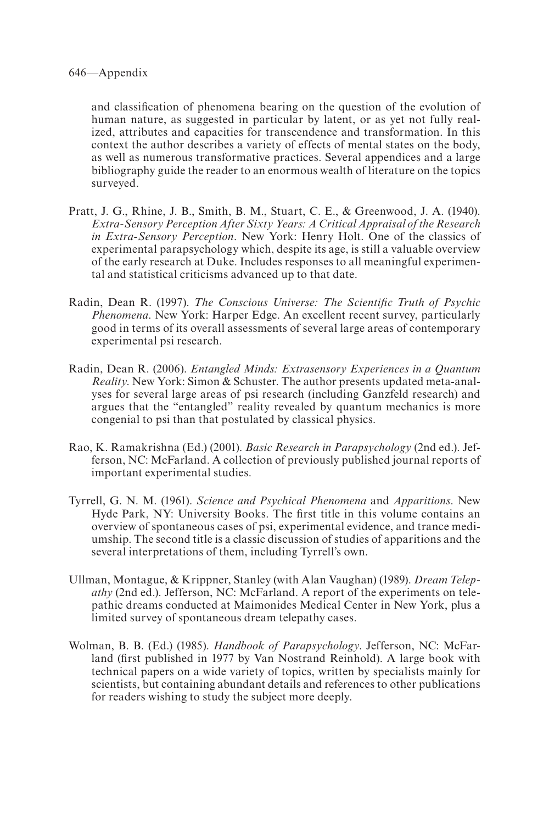#### 646—Appendix

and classification of phenomena bearing on the question of the evolution of human nature, as suggested in particular by latent, or as yet not fully realized, attributes and capacities for transcendence and transformation. In this context the author describes a variety of effects of mental states on the body, as well as numerous transformative practices. Several appendices and a large bibliography guide the reader to an enormous wealth of literature on the topics surveyed.

- Pratt, J. G., Rhine, J. B., Smith, B. M., Stuart, C. E., & Greenwood, J. A. (1940). *Extra-Sensory Perception After Sixty Years: A Critical Appraisal of the Research in Extra-Sensory Perception*. New York: Henry Holt. One of the classics of experimental parapsychology which, despite its age, is still a valuable overview of the early research at Duke. Includes responses to all meaningful experimental and statistical criticisms advanced up to that date.
- Radin, Dean R. (1997). *The Conscious Universe: The Scientific Truth of Psychic Phenomena*. New York: Harper Edge. An excellent recent survey, particularly good in terms of its overall assessments of several large areas of contemporary experimental psi research.
- Radin, Dean R. (2006). *Entangled Minds: Extrasensory Experiences in a Quantum Reality*. New York: Simon & Schuster. The author presents updated meta-analyses for several large areas of psi research (including Ganzfeld research) and argues that the "entangled" reality revealed by quantum mechanics is more congenial to psi than that postulated by classical physics.
- Rao, K. Ramakrishna (Ed.) (2001). *Basic Research in Parapsychology* (2nd ed.). Jefferson, NC: McFarland. A collection of previously published journal reports of important experimental studies.
- Tyrrell, G. N. M. (1961). *Science and Psychical Phenomena* and *Apparitions*. New Hyde Park, NY: University Books. The first title in this volume contains an overview of spontaneous cases of psi, experimental evidence, and trance mediumship. The second title is a classic discussion of studies of apparitions and the several interpretations of them, including Tyrrell's own.
- Ullman, Montague, & Krippner, Stanley (with Alan Vaughan) (1989). *Dream Telepathy* (2nd ed.). Jefferson, NC: McFarland. A report of the experiments on telepathic dreams conducted at Maimonides Medical Center in New York, plus a limited survey of spontaneous dream telepathy cases.
- Wolman, B. B. (Ed.) (1985). *Handbook of Parapsychology*. Jefferson, NC: McFarland (first published in 1977 by Van Nostrand Reinhold). A large book with technical papers on a wide variety of topics, written by specialists mainly for scientists, but containing abundant details and references to other publications for readers wishing to study the subject more deeply.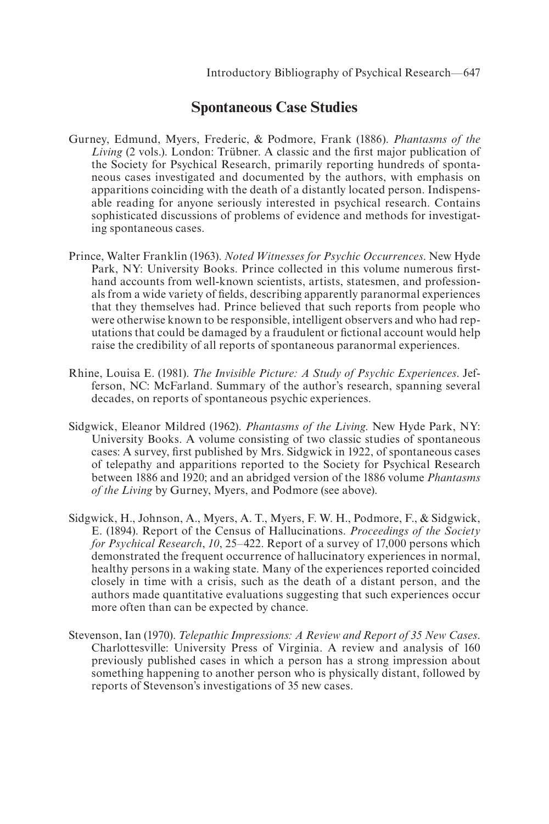Introductory Bibliography of Psychical Research—647

### **Spontaneous Case Studies**

- Gurney, Edmund, Myers, Frederic, & Podmore, Frank (1886). *Phantasms of the Living* (2 vols.). London: Trübner. A classic and the first major publication of the Society for Psychical Research, primarily reporting hundreds of spontaneous cases investigated and documented by the authors, with emphasis on apparitions coinciding with the death of a distantly located person. Indispensable reading for anyone seriously interested in psychical research. Contains sophisticated discussions of problems of evidence and methods for investigating spontaneous cases.
- Prince, Walter Franklin (1963). *Noted Witnesses for Psychic Occurrences*. New Hyde Park, NY: University Books. Prince collected in this volume numerous firsthand accounts from well-known scientists, artists, statesmen, and professionals from a wide variety of fields, describing apparently paranormal experiences that they themselves had. Prince believed that such reports from people who were otherwise known to be responsible, intelligent observers and who had reputations that could be damaged by a fraudulent or fictional account would help raise the credibility of all reports of spontaneous paranormal experiences.
- Rhine, Louisa E. (1981). *The Invisible Picture: A Study of Psychic Experiences*. Jefferson, NC: McFarland. Summary of the author's research, spanning several decades, on reports of spontaneous psychic experiences.
- Sidgwick, Eleanor Mildred (1962). *Phantasms of the Living*. New Hyde Park, NY: University Books. A volume consisting of two classic studies of spontaneous cases: A survey, first published by Mrs. Sidgwick in 1922, of spontaneous cases of telepathy and apparitions reported to the Society for Psychical Research between 1886 and 1920; and an abridged version of the 1886 volume *Phantasms of the Living* by Gurney, Myers, and Podmore (see above).
- Sidgwick, H., Johnson, A., Myers, A. T., Myers, F. W. H., Podmore, F., & Sidgwick, E. (1894). Report of the Census of Hallucinations. *Proceedings of the Society for Psychical Research*, *10*, 25–422. Report of a survey of 17,000 persons which demonstrated the frequent occurrence of hallucinatory experiences in normal, healthy persons in a waking state. Many of the experiences reported coincided closely in time with a crisis, such as the death of a distant person, and the authors made quantitative evaluations suggesting that such experiences occur more often than can be expected by chance.
- Stevenson, Ian (1970). *Telepathic Impressions: A Review and Report of 35 New Cases*. Charlottesville: University Press of Virginia. A review and analysis of 160 previously published cases in which a person has a strong impression about something happening to another person who is physically distant, followed by reports of Stevenson's investigations of 35 new cases.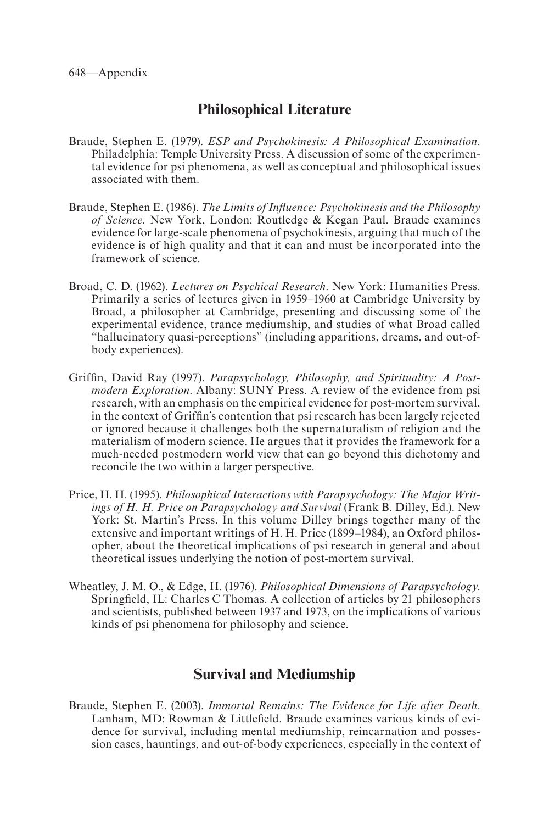# **Philosophical Literature**

- Braude, Stephen E. (1979). *ESP and Psychokinesis: A Philosophical Examination*. Philadelphia: Temple University Press. A discussion of some of the experimental evidence for psi phenomena, as well as conceptual and philosophical issues associated with them.
- Braude, Stephen E. (1986). *The Limits of Influence: Psychokinesis and the Philosophy of Science*. New York, London: Routledge & Kegan Paul. Braude examines evidence for large-scale phenomena of psychokinesis, arguing that much of the evidence is of high quality and that it can and must be incorporated into the framework of science.
- Broad, C. D. (1962). *Lectures on Psychical Research*. New York: Humanities Press. Primarily a series of lectures given in 1959–1960 at Cambridge University by Broad, a philosopher at Cambridge, presenting and discussing some of the experimental evidence, trance mediumship, and studies of what Broad called "hallucinatory quasi-perceptions" (including apparitions, dreams, and out-ofbody experiences).
- Griffin, David Ray (1997). *Parapsychology, Philosophy, and Spirituality: A Postmodern Exploration*. Albany: SUNY Press. A review of the evidence from psi research, with an emphasis on the empirical evidence for post-mortem survival, in the context of Griffin's contention that psi research has been largely rejected or ignored because it challenges both the supernaturalism of religion and the materialism of modern science. He argues that it provides the framework for a much-needed postmodern world view that can go beyond this dichotomy and reconcile the two within a larger perspective.
- Price, H. H. (1995). *Philosophical Interactions with Parapsychology: The Major Writings of H. H. Price on Parapsychology and Survival* (Frank B. Dilley, Ed.). New York: St. Martin's Press. In this volume Dilley brings together many of the extensive and important writings of H. H. Price (1899–1984), an Oxford philosopher, about the theoretical implications of psi research in general and about theoretical issues underlying the notion of post-mortem survival.
- Wheatley, J. M. O., & Edge, H. (1976). *Philosophical Dimensions of Parapsychology*. Springfield, IL: Charles C Thomas. A collection of articles by 21 philosophers and scientists, published between 1937 and 1973, on the implications of various kinds of psi phenomena for philosophy and science.

## **Survival and Mediumship**

Braude, Stephen E. (2003). *Immortal Remains: The Evidence for Life after Death*. Lanham, MD: Rowman & Littlefield. Braude examines various kinds of evidence for survival, including mental mediumship, reincarnation and possession cases, hauntings, and out-of-body experiences, especially in the context of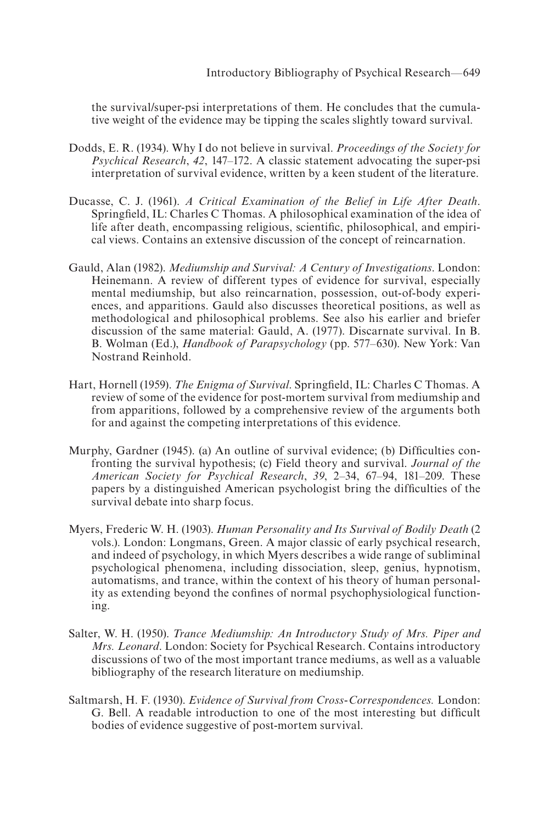the survival/super-psi interpretations of them. He concludes that the cumulative weight of the evidence may be tipping the scales slightly toward survival.

- Dodds, E. R. (1934). Why I do not believe in survival. *Proceedings of the Society for Psychical Research*, *42*, 147–172. A classic statement advocating the super-psi interpretation of survival evidence, written by a keen student of the literature.
- Ducasse, C. J. (1961). *A Critical Examination of the Belief in Life After Death*. Springfield, IL: Charles C Thomas. A philosophical examination of the idea of life after death, encompassing religious, scientific, philosophical, and empirical views. Contains an extensive discussion of the concept of reincarnation.
- Gauld, Alan (1982). *Mediumship and Survival: A Century of Investigations*. London: Heinemann. A review of different types of evidence for survival, especially mental mediumship, but also reincarnation, possession, out-of-body experiences, and apparitions. Gauld also discusses theoretical positions, as well as methodological and philosophical problems. See also his earlier and briefer discussion of the same material: Gauld, A. (1977). Discarnate survival. In B. B. Wolman (Ed.), *Handbook of Parapsychology* (pp. 577–630). New York: Van Nostrand Reinhold.
- Hart, Hornell (1959). *The Enigma of Survival*. Springfield, IL: Charles C Thomas. A review of some of the evidence for post-mortem survival from mediumship and from apparitions, followed by a comprehensive review of the arguments both for and against the competing interpretations of this evidence.
- Murphy, Gardner (1945). (a) An outline of survival evidence; (b) Difficulties confronting the survival hypothesis; (c) Field theory and survival. *Journal of the American Society for Psychical Research*, *39*, 2–34, 67–94, 181–209. These papers by a distinguished American psychologist bring the difficulties of the survival debate into sharp focus.
- Myers, Frederic W. H. (1903). *Human Personality and Its Survival of Bodily Death* (2 vols.). London: Longmans, Green. A major classic of early psychical research, and indeed of psychology, in which Myers describes a wide range of subliminal psychological phenomena, including dissociation, sleep, genius, hypnotism, automatisms, and trance, within the context of his theory of human personality as extending beyond the confines of normal psychophysiological functioning.
- Salter, W. H. (1950). *Trance Mediumship: An Introductory Study of Mrs. Piper and Mrs. Leonard*. London: Society for Psychical Research. Contains introductory discussions of two of the most important trance mediums, as well as a valuable bibliography of the research literature on mediumship.
- Saltmarsh, H. F. (1930). *Evidence of Survival from Cross-Correspondences.* London: G. Bell. A readable introduction to one of the most interesting but difficult bodies of evidence suggestive of post-mortem survival.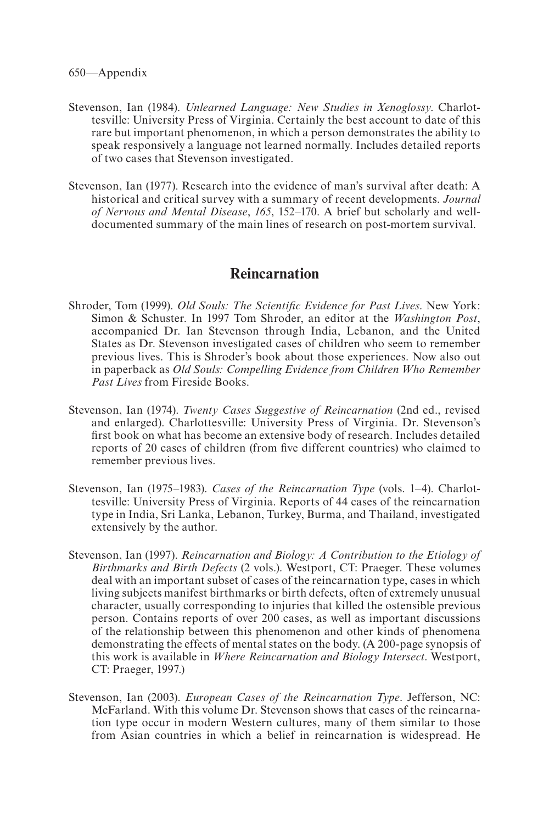- Stevenson, Ian (1984). *Unlearned Language: New Studies in Xenoglossy*. Charlottesville: University Press of Virginia. Certainly the best account to date of this rare but important phenomenon, in which a person demonstrates the ability to speak responsively a language not learned normally. Includes detailed reports of two cases that Stevenson investigated.
- Stevenson, Ian (1977). Research into the evidence of man's survival after death: A historical and critical survey with a summary of recent developments. *Journal of Nervous and Mental Disease*, *165*, 152–170. A brief but scholarly and welldocumented summary of the main lines of research on post-mortem survival.

## **Reincarnation**

- Shroder, Tom (1999). *Old Souls: The Scientific Evidence for Past Lives*. New York: Simon & Schuster. In 1997 Tom Shroder, an editor at the *Washington Post*, accompanied Dr. Ian Stevenson through India, Lebanon, and the United States as Dr. Stevenson investigated cases of children who seem to remember previous lives. This is Shroder's book about those experiences. Now also out in paperback as *Old Souls: Compelling Evidence from Children Who Remember Past Lives* from Fireside Books.
- Stevenson, Ian (1974). *Twenty Cases Suggestive of Reincarnation* (2nd ed., revised and enlarged). Charlottesville: University Press of Virginia. Dr. Stevenson's first book on what has become an extensive body of research. Includes detailed reports of 20 cases of children (from five different countries) who claimed to remember previous lives.
- Stevenson, Ian (1975–1983). *Cases of the Reincarnation Type* (vols. 1–4). Charlottesville: University Press of Virginia. Reports of 44 cases of the reincarnation type in India, Sri Lanka, Lebanon, Turkey, Burma, and Thailand, investigated extensively by the author.
- Stevenson, Ian (1997). *Reincarnation and Biology: A Contribution to the Etiology of Birthmarks and Birth Defects* (2 vols.). Westport, CT: Praeger. These volumes deal with an important subset of cases of the reincarnation type, cases in which living subjects manifest birthmarks or birth defects, often of extremely unusual character, usually corresponding to injuries that killed the ostensible previous person. Contains reports of over 200 cases, as well as important discussions of the relationship between this phenomenon and other kinds of phenomena demonstrating the effects of mental states on the body. (A 200-page synopsis of this work is available in *Where Reincarnation and Biology Intersect*. Westport, CT: Praeger, 1997.)
- Stevenson, Ian (2003). *European Cases of the Reincarnation Type*. Jefferson, NC: McFarland. With this volume Dr. Stevenson shows that cases of the reincarnation type occur in modern Western cultures, many of them similar to those from Asian countries in which a belief in reincarnation is widespread. He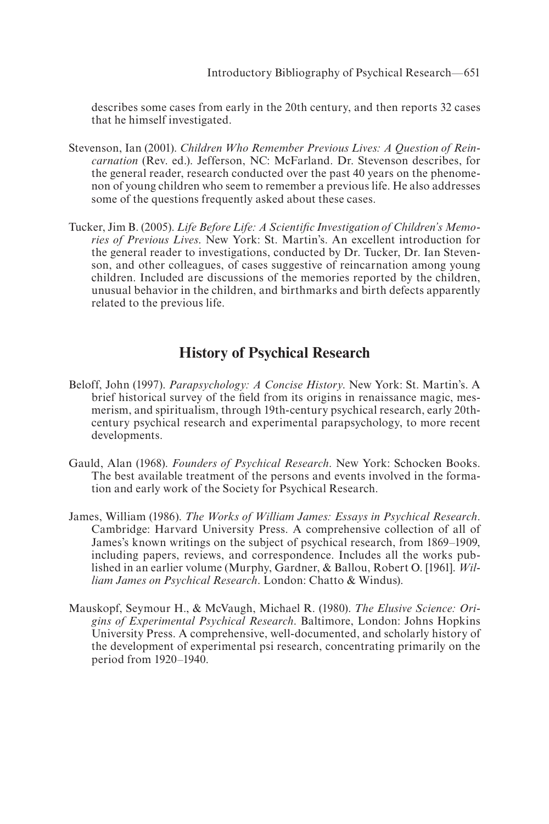describes some cases from early in the 20th century, and then reports 32 cases that he himself investigated.

- Stevenson, Ian (2001). *Children Who Remember Previous Lives: A Question of Reincarnation* (Rev. ed.). Jefferson, NC: McFarland. Dr. Stevenson describes, for the general reader, research conducted over the past 40 years on the phenomenon of young children who seem to remember a previous life. He also addresses some of the questions frequently asked about these cases.
- Tucker, Jim B. (2005). *Life Before Life: A Scientific Investigation of Children's Memories of Previous Lives*. New York: St. Martin's. An excellent introduction for the general reader to investigations, conducted by Dr. Tucker, Dr. Ian Stevenson, and other colleagues, of cases suggestive of reincarnation among young children. Included are discussions of the memories reported by the children, unusual behavior in the children, and birthmarks and birth defects apparently related to the previous life.

## **History of Psychical Research**

- Beloff, John (1997). *Parapsychology: A Concise History*. New York: St. Martin's. A brief historical survey of the field from its origins in renaissance magic, mesmerism, and spiritualism, through 19th-century psychical research, early 20thcentury psychical research and experimental parapsychology, to more recent developments.
- Gauld, Alan (1968). *Founders of Psychical Research*. New York: Schocken Books. The best available treatment of the persons and events involved in the formation and early work of the Society for Psychical Research.
- James, William (1986). *The Works of William James: Essays in Psychical Research*. Cambridge: Harvard University Press. A comprehensive collection of all of James's known writings on the subject of psychical research, from 1869–1909, including papers, reviews, and correspondence. Includes all the works published in an earlier volume (Murphy, Gardner, & Ballou, Robert O. [1961]. *William James on Psychical Research*. London: Chatto & Windus).
- Mauskopf, Seymour H., & McVaugh, Michael R. (1980). *The Elusive Science: Origins of Experimental Psychical Research*. Baltimore, London: Johns Hopkins University Press. A comprehensive, well-documented, and scholarly history of the development of experimental psi research, concentrating primarily on the period from 1920–1940.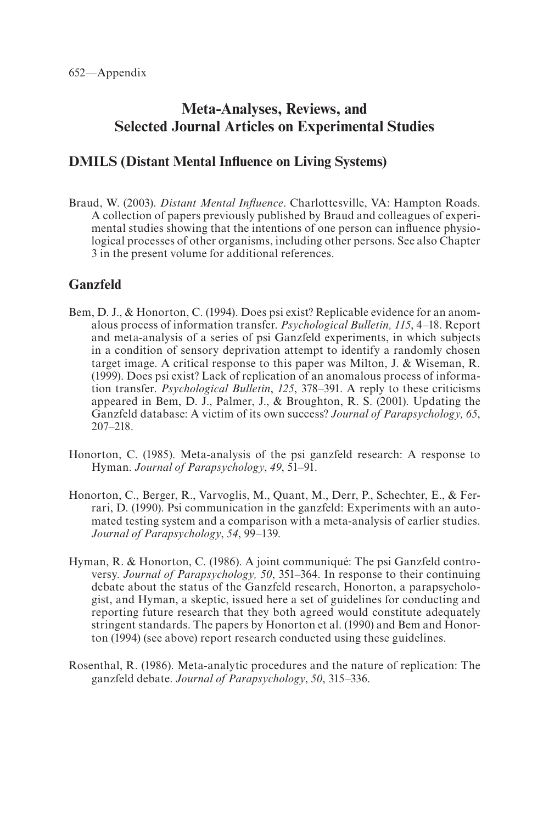# **Meta-Analyses, Reviews, and Selected Journal Articles on Experimental Studies**

#### **DMILS (Distant Mental Influence on Living Systems)**

Braud, W. (2003). *Distant Mental Influence*. Charlottesville, VA: Hampton Roads. A collection of papers previously published by Braud and colleagues of experimental studies showing that the intentions of one person can influence physiological processes of other organisms, including other persons. See also Chapter 3 in the present volume for additional references.

## **Ganzfeld**

- Bem, D. J., & Honorton, C. (1994). Does psi exist? Replicable evidence for an anomalous process of information transfer. *Psychological Bulletin, 115*, 4–18. Report and meta-analysis of a series of psi Ganzfeld experiments, in which subjects in a condition of sensory deprivation attempt to identify a randomly chosen target image. A critical response to this paper was Milton, J. & Wiseman, R. (1999). Does psi exist? Lack of replication of an anomalous process of information transfer. *Psychological Bulletin*, *125*, 378–391. A reply to these criticisms appeared in Bem, D. J., Palmer, J., & Broughton, R. S. (2001). Updating the Ganzfeld database: A victim of its own success? *Journal of Parapsychology, 65*, 207–218.
- Honorton, C. (1985). Meta-analysis of the psi ganzfeld research: A response to Hyman. *Journal of Parapsychology*, *49*, 51–91.
- Honorton, C., Berger, R., Varvoglis, M., Quant, M., Derr, P., Schechter, E., & Ferrari, D. (1990). Psi communication in the ganzfeld: Experiments with an automated testing system and a comparison with a meta-analysis of earlier studies. *Journal of Parapsychology*, *54*, 99–139.
- Hyman, R. & Honorton, C. (1986). A joint communiqué: The psi Ganzfeld controversy. *Journal of Parapsychology, 50*, 351–364. In response to their continuing debate about the status of the Ganzfeld research, Honorton, a parapsychologist, and Hyman, a skeptic, issued here a set of guidelines for conducting and reporting future research that they both agreed would constitute adequately stringent standards. The papers by Honorton et al. (1990) and Bem and Honorton (1994) (see above) report research conducted using these guidelines.
- Rosenthal, R. (1986). Meta-analytic procedures and the nature of replication: The ganzfeld debate. *Journal of Parapsychology*, *50*, 315–336.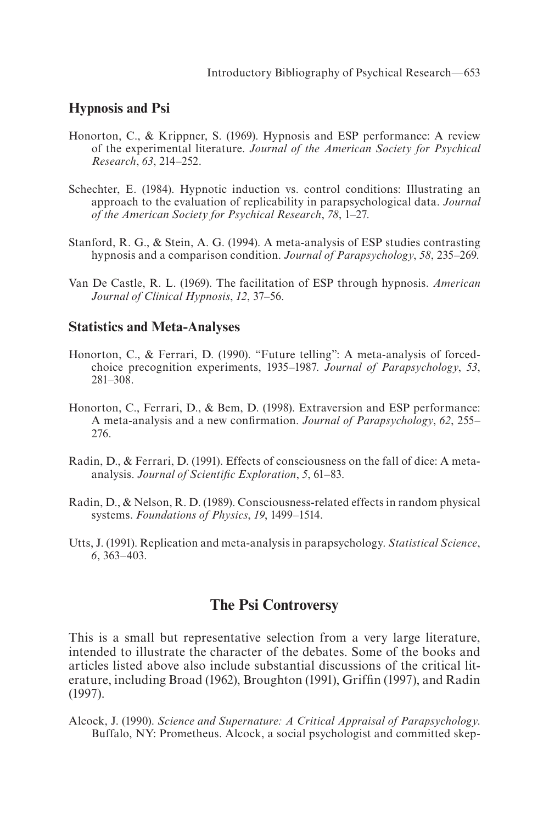#### **Hypnosis and Psi**

- Honorton, C., & Krippner, S. (1969). Hypnosis and ESP performance: A review of the experimental literature. *Journal of the American Society for Psychical Research*, *63*, 214–252.
- Schechter, E. (1984). Hypnotic induction vs. control conditions: Illustrating an approach to the evaluation of replicability in parapsychological data. *Journal of the American Society for Psychical Research*, *78*, 1–27.
- Stanford, R. G., & Stein, A. G. (1994). A meta-analysis of ESP studies contrasting hypnosis and a comparison condition. *Journal of Parapsychology*, *58*, 235–269.
- Van De Castle, R. L. (1969). The facilitation of ESP through hypnosis. *American Journal of Clinical Hypnosis*, *12*, 37–56.

#### **Statistics and Meta-Analyses**

- Honorton, C., & Ferrari, D. (1990). "Future telling": A meta-analysis of forcedchoice precognition experiments, 1935–1987. *Journal of Parapsychology*, *53*, 281–308.
- Honorton, C., Ferrari, D., & Bem, D. (1998). Extraversion and ESP performance: A meta-analysis and a new confirmation. *Journal of Parapsychology*, *62*, 255– 276.
- Radin, D., & Ferrari, D. (1991). Effects of consciousness on the fall of dice: A metaanalysis. *Journal of Scientific Exploration*, *5*, 61–83.
- Radin, D., & Nelson, R. D. (1989). Consciousness-related effects in random physical systems. *Foundations of Physics*, *19*, 1499–1514.
- Utts, J. (1991). Replication and meta-analysis in parapsychology. *Statistical Science*, *6*, 363–403.

#### **The Psi Controversy**

This is a small but representative selection from a very large literature, intended to illustrate the character of the debates. Some of the books and articles listed above also include substantial discussions of the critical literature, including Broad (1962), Broughton (1991), Griffin (1997), and Radin (1997).

Alcock, J. (1990). *Science and Supernature: A Critical Appraisal of Parapsychology*. Buffalo, NY: Prometheus. Alcock, a social psychologist and committed skep-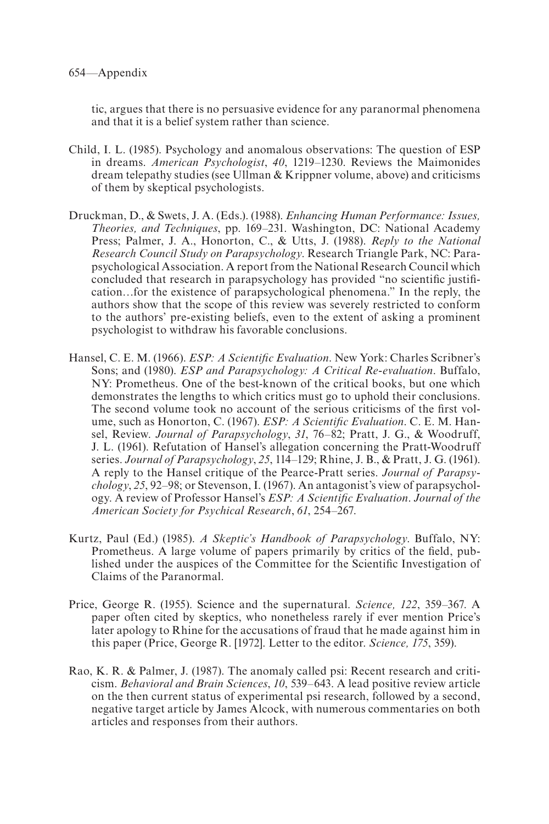#### 654—Appendix

tic, argues that there is no persuasive evidence for any paranormal phenomena and that it is a belief system rather than science.

- Child, I. L. (1985). Psychology and anomalous observations: The question of ESP in dreams. *American Psychologist*, *40*, 1219–1230. Reviews the Maimonides dream telepathy studies (see Ullman & Krippner volume, above) and criticisms of them by skeptical psychologists.
- Druckman, D., & Swets, J. A. (Eds.). (1988). *Enhancing Human Performance: Issues, Theories, and Techniques*, pp. 169–231. Washington, DC: National Academy Press; Palmer, J. A., Honorton, C., & Utts, J. (1988). *Reply to the National Research Council Study on Parapsychology*. Research Triangle Park, NC: Parapsychological Association. A report from the National Research Council which concluded that research in parapsychology has provided "no scientific justification…for the existence of parapsychological phenomena." In the reply, the authors show that the scope of this review was severely restricted to conform to the authors' pre-existing beliefs, even to the extent of asking a prominent psychologist to withdraw his favorable conclusions.
- Hansel, C. E. M. (1966). *ESP: A Scientific Evaluation*. New York: Charles Scribner's Sons; and (1980). *ESP and Parapsychology: A Critical Re-evaluation*. Buffalo, NY: Prometheus. One of the best-known of the critical books, but one which demonstrates the lengths to which critics must go to uphold their conclusions. The second volume took no account of the serious criticisms of the first volume, such as Honorton, C. (1967). *ESP: A Scientific Evaluation*. C. E. M. Hansel, Review. *Journal of Parapsychology*, *31*, 76–82; Pratt, J. G., & Woodruff, J. L. (1961). Refutation of Hansel's allegation concerning the Pratt-Woodruff series. *Journal of Parapsychology*, *25*, 114–129; Rhine, J. B., & Pratt, J. G. (1961). A reply to the Hansel critique of the Pearce-Pratt series. *Journal of Parapsychology*, *25*, 92–98; or Stevenson, I. (1967). An antagonist's view of parapsychology. A review of Professor Hansel's *ESP: A Scientific Evaluation*. *Journal of the American Society for Psychical Research*, *61*, 254–267.
- Kurtz, Paul (Ed.) (1985). *A Skeptic's Handbook of Parapsychology*. Buffalo, NY: Prometheus. A large volume of papers primarily by critics of the field, published under the auspices of the Committee for the Scientific Investigation of Claims of the Paranormal.
- Price, George R. (1955). Science and the supernatural. *Science, 122*, 359–367. A paper often cited by skeptics, who nonetheless rarely if ever mention Price's later apology to Rhine for the accusations of fraud that he made against him in this paper (Price, George R. [1972]. Letter to the editor. *Science, 175*, 359).
- Rao, K. R. & Palmer, J. (1987). The anomaly called psi: Recent research and criticism. *Behavioral and Brain Sciences*, *10*, 539–643. A lead positive review article on the then current status of experimental psi research, followed by a second, negative target article by James Alcock, with numerous commentaries on both articles and responses from their authors.